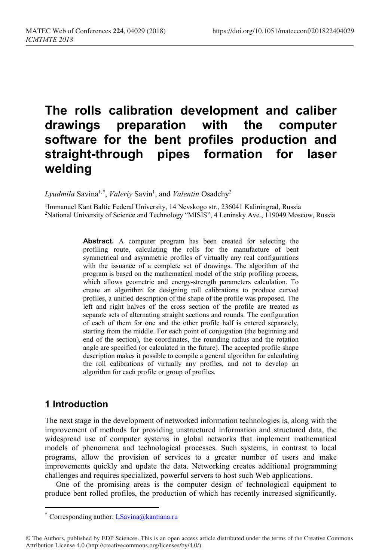# **The rolls calibration development and caliber drawings preparation with the computer software for the bent profiles production and straight-through pipes formation for laser welding**

Lyudmila Savina<sup>1,[\\*](#page-0-0)</sup>, *Valeriy* Savin<sup>1</sup>, and *Valentin* Osadchy<sup>2</sup>

1Immanuel Kant Baltic Federal University, 14 Nevskogo str., 236041 Kaliningrad, Russia 2National University of Science and Technology "MISIS", 4 Leninsky Ave., 119049 Moscow, Russia

> **Abstract.** A computer program has been created for selecting the profiling route, calculating the rolls for the manufacture of bent symmetrical and asymmetric profiles of virtually any real configurations with the issuance of a complete set of drawings. The algorithm of the program is based on the mathematical model of the strip profiling process, which allows geometric and energy-strength parameters calculation. To create an algorithm for designing roll calibrations to produce curved profiles, a unified description of the shape of the profile was proposed. The left and right halves of the cross section of the profile are treated as separate sets of alternating straight sections and rounds. The configuration of each of them for one and the other profile half is entered separately, starting from the middle. For each point of conjugation (the beginning and end of the section), the coordinates, the rounding radius and the rotation angle are specified (or calculated in the future). The accepted profile shape description makes it possible to compile a general algorithm for calculating the roll calibrations of virtually any profiles, and not to develop an algorithm for each profile or group of profiles.

# **1 Introduction**

 $\overline{a}$ 

The next stage in the development of networked information technologies is, along with the improvement of methods for providing unstructured information and structured data, the widespread use of computer systems in global networks that implement mathematical models of phenomena and technological processes. Such systems, in contrast to local programs, allow the provision of services to a greater number of users and make improvements quickly and update the data. Networking creates additional programming challenges and requires specialized, powerful servers to host such Web applications.

One of the promising areas is the computer design of technological equipment to produce bent rolled profiles, the production of which has recently increased significantly.

Corresponding author: [LSavina@kantiana.ru](mailto:LSavina@kantiana.ru)

<span id="page-0-0"></span><sup>©</sup> The Authors, published by EDP Sciences. This is an open access article distributed under the terms of the Creative Commons Attribution License 4.0 (http://creativecommons.org/licenses/by/4.0/).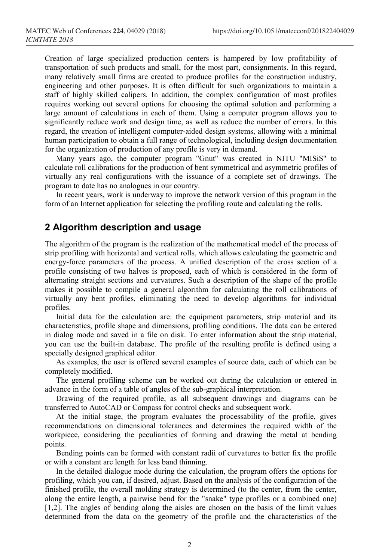Creation of large specialized production centers is hampered by low profitability of transportation of such products and small, for the most part, consignments. In this regard, many relatively small firms are created to produce profiles for the construction industry, engineering and other purposes. It is often difficult for such organizations to maintain a staff of highly skilled calipers. In addition, the complex configuration of most profiles requires working out several options for choosing the optimal solution and performing a large amount of calculations in each of them. Using a computer program allows you to significantly reduce work and design time, as well as reduce the number of errors. In this regard, the creation of intelligent computer-aided design systems, allowing with a minimal human participation to obtain a full range of technological, including design documentation for the organization of production of any profile is very in demand.

Many years ago, the computer program "Gnut" was created in NITU "MISiS" to calculate roll calibrations for the production of bent symmetrical and asymmetric profiles of virtually any real configurations with the issuance of a complete set of drawings. The program to date has no analogues in our country.

In recent years, work is underway to improve the network version of this program in the form of an Internet application for selecting the profiling route and calculating the rolls.

#### **2 Algorithm description and usage**

The algorithm of the program is the realization of the mathematical model of the process of strip profiling with horizontal and vertical rolls, which allows calculating the geometric and energy-force parameters of the process. A unified description of the cross section of a profile consisting of two halves is proposed, each of which is considered in the form of alternating straight sections and curvatures. Such a description of the shape of the profile makes it possible to compile a general algorithm for calculating the roll calibrations of virtually any bent profiles, eliminating the need to develop algorithms for individual profiles.

Initial data for the calculation are: the equipment parameters, strip material and its characteristics, profile shape and dimensions, profiling conditions. The data can be entered in dialog mode and saved in a file on disk. To enter information about the strip material, you can use the built-in database. The profile of the resulting profile is defined using a specially designed graphical editor.

As examples, the user is offered several examples of source data, each of which can be completely modified.

The general profiling scheme can be worked out during the calculation or entered in advance in the form of a table of angles of the sub-graphical interpretation.

Drawing of the required profile, as all subsequent drawings and diagrams can be transferred to AutoCAD or Compass for control checks and subsequent work.

At the initial stage, the program evaluates the processability of the profile, gives recommendations on dimensional tolerances and determines the required width of the workpiece, considering the peculiarities of forming and drawing the metal at bending points.

Bending points can be formed with constant radii of curvatures to better fix the profile or with a constant arc length for less band thinning.

In the detailed dialogue mode during the calculation, the program offers the options for profiling, which you can, if desired, adjust. Based on the analysis of the configuration of the finished profile, the overall molding strategy is determined (to the center, from the center, along the entire length, a pairwise bend for the "snake" type profiles or a combined one) [1,2]. The angles of bending along the aisles are chosen on the basis of the limit values determined from the data on the geometry of the profile and the characteristics of the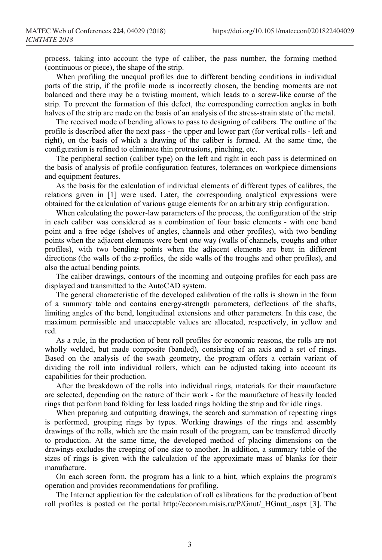process. taking into account the type of caliber, the pass number, the forming method (continuous or piece), the shape of the strip.

When profiling the unequal profiles due to different bending conditions in individual parts of the strip, if the profile mode is incorrectly chosen, the bending moments are not balanced and there may be a twisting moment, which leads to a screw-like course of the strip. To prevent the formation of this defect, the corresponding correction angles in both halves of the strip are made on the basis of an analysis of the stress-strain state of the metal.

The received mode of bending allows to pass to designing of calibers. The outline of the profile is described after the next pass - the upper and lower part (for vertical rolls - left and right), on the basis of which a drawing of the caliber is formed. At the same time, the configuration is refined to eliminate thin protrusions, pinching, etc.

The peripheral section (caliber type) on the left and right in each pass is determined on the basis of analysis of profile configuration features, tolerances on workpiece dimensions and equipment features.

As the basis for the calculation of individual elements of different types of calibres, the relations given in [1] were used. Later, the corresponding analytical expressions were obtained for the calculation of various gauge elements for an arbitrary strip configuration.

When calculating the power-law parameters of the process, the configuration of the strip in each caliber was considered as a combination of four basic elements - with one bend point and a free edge (shelves of angles, channels and other profiles), with two bending points when the adjacent elements were bent one way (walls of channels, troughs and other profiles), with two bending points when the adjacent elements are bent in different directions (the walls of the z-profiles, the side walls of the troughs and other profiles), and also the actual bending points.

The caliber drawings, contours of the incoming and outgoing profiles for each pass are displayed and transmitted to the AutoCAD system.

The general characteristic of the developed calibration of the rolls is shown in the form of a summary table and contains energy-strength parameters, deflections of the shafts, limiting angles of the bend, longitudinal extensions and other parameters. In this case, the maximum permissible and unacceptable values are allocated, respectively, in yellow and red.

As a rule, in the production of bent roll profiles for economic reasons, the rolls are not wholly welded, but made composite (banded), consisting of an axis and a set of rings. Based on the analysis of the swath geometry, the program offers a certain variant of dividing the roll into individual rollers, which can be adjusted taking into account its capabilities for their production.

After the breakdown of the rolls into individual rings, materials for their manufacture are selected, depending on the nature of their work - for the manufacture of heavily loaded rings that perform band folding for less loaded rings holding the strip and for idle rings.

When preparing and outputting drawings, the search and summation of repeating rings is performed, grouping rings by types. Working drawings of the rings and assembly drawings of the rolls, which are the main result of the program, can be transferred directly to production. At the same time, the developed method of placing dimensions on the drawings excludes the creeping of one size to another. In addition, a summary table of the sizes of rings is given with the calculation of the approximate mass of blanks for their manufacture.

On each screen form, the program has a link to a hint, which explains the program's operation and provides recommendations for profiling.

The Internet application for the calculation of roll calibrations for the production of bent roll profiles is posted on the portal http://econom.misis.ru/P/Gnut/\_HGnut\_.aspx [3]. The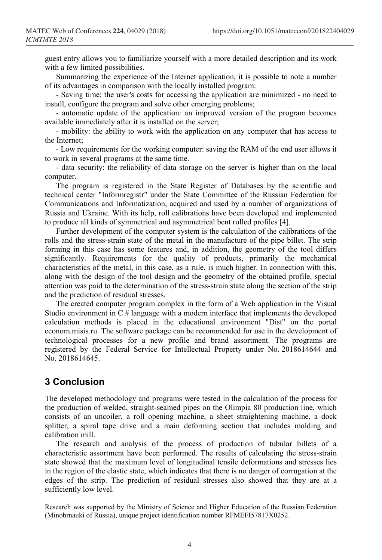guest entry allows you to familiarize yourself with a more detailed description and its work with a few limited possibilities.

Summarizing the experience of the Internet application, it is possible to note a number of its advantages in comparison with the locally installed program:

- Saving time: the user's costs for accessing the application are minimized - no need to install, configure the program and solve other emerging problems;

- automatic update of the application: an improved version of the program becomes available immediately after it is installed on the server;

- mobility: the ability to work with the application on any computer that has access to the Internet;

- Low requirements for the working computer: saving the RAM of the end user allows it to work in several programs at the same time.

- data security: the reliability of data storage on the server is higher than on the local computer.

The program is registered in the State Register of Databases by the scientific and technical center "Informregistr" under the State Committee of the Russian Federation for Communications and Informatization, acquired and used by a number of organizations of Russia and Ukraine. With its help, roll calibrations have been developed and implemented to produce all kinds of symmetrical and asymmetrical bent rolled profiles [4].

Further development of the computer system is the calculation of the calibrations of the rolls and the stress-strain state of the metal in the manufacture of the pipe billet. The strip forming in this case has some features and, in addition, the geometry of the tool differs significantly. Requirements for the quality of products, primarily the mechanical characteristics of the metal, in this case, as a rule, is much higher. In connection with this, along with the design of the tool design and the geometry of the obtained profile, special attention was paid to the determination of the stress-strain state along the section of the strip and the prediction of residual stresses.

The created computer program complex in the form of a Web application in the Visual Studio environment in  $C \#$  language with a modern interface that implements the developed calculation methods is placed in the educational environment "Dist" on the portal econom.misis.ru. The software package can be recommended for use in the development of technological processes for a new profile and brand assortment. The programs are registered by the Federal Service for Intellectual Property under No. 2018614644 and No. 2018614645.

## **3 Conclusion**

The developed methodology and programs were tested in the calculation of the process for the production of welded, straight-seamed pipes on the Olimpia 80 production line, which consists of an uncoiler, a roll opening machine, a sheet straightening machine, a dock splitter, a spiral tape drive and a main deforming section that includes molding and calibration mill.

The research and analysis of the process of production of tubular billets of a characteristic assortment have been performed. The results of calculating the stress-strain state showed that the maximum level of longitudinal tensile deformations and stresses lies in the region of the elastic state, which indicates that there is no danger of corrugation at the edges of the strip. The prediction of residual stresses also showed that they are at a sufficiently low level.

Research was supported by the Ministry of Science and Higher Education of the Russian Federation (Minobrnauki of Russia), unique project identification number RFMEFI57817X0252.